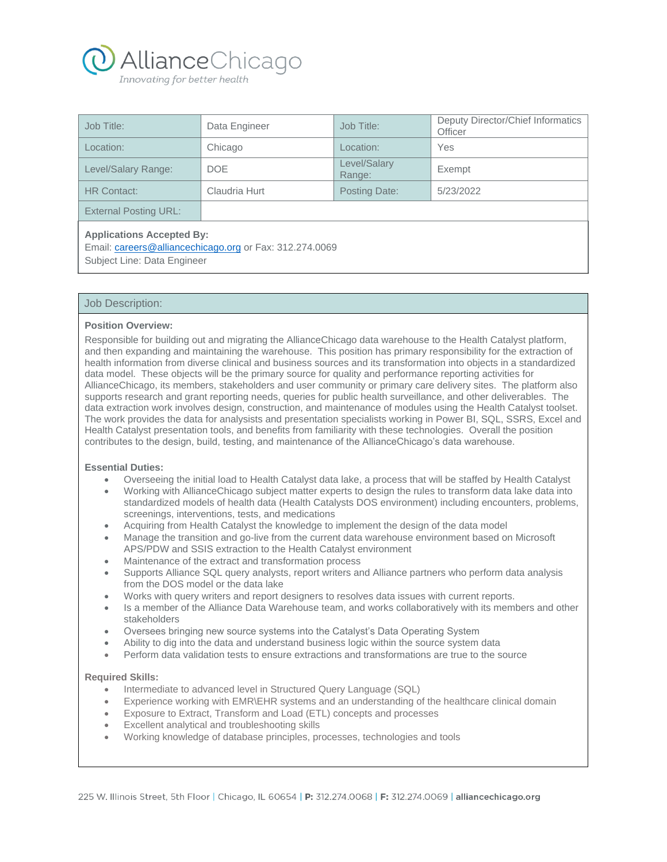

| Job Title:                                                                                                                 | Data Engineer | Job Title:             | Deputy Director/Chief Informatics<br>Officer |
|----------------------------------------------------------------------------------------------------------------------------|---------------|------------------------|----------------------------------------------|
| Location:                                                                                                                  | Chicago       | Location:              | Yes                                          |
| Level/Salary Range:                                                                                                        | <b>DOE</b>    | Level/Salary<br>Range: | Exempt                                       |
| <b>HR Contact:</b>                                                                                                         | Claudria Hurt | Posting Date:          | 5/23/2022                                    |
| <b>External Posting URL:</b>                                                                                               |               |                        |                                              |
| <b>Applications Accepted By:</b><br>Email: careers@alliancechicago.org or Fax: 312.274.0069<br>Subject Line: Data Engineer |               |                        |                                              |

## Job Description:

#### **Position Overview:**

Responsible for building out and migrating the AllianceChicago data warehouse to the Health Catalyst platform, and then expanding and maintaining the warehouse. This position has primary responsibility for the extraction of health information from diverse clinical and business sources and its transformation into objects in a standardized data model. These objects will be the primary source for quality and performance reporting activities for AllianceChicago, its members, stakeholders and user community or primary care delivery sites. The platform also supports research and grant reporting needs, queries for public health surveillance, and other deliverables. The data extraction work involves design, construction, and maintenance of modules using the Health Catalyst toolset. The work provides the data for analysists and presentation specialists working in Power BI, SQL, SSRS, Excel and Health Catalyst presentation tools, and benefits from familiarity with these technologies. Overall the position contributes to the design, build, testing, and maintenance of the AllianceChicago's data warehouse.

#### **Essential Duties:**

- Overseeing the initial load to Health Catalyst data lake, a process that will be staffed by Health Catalyst
- Working with AllianceChicago subject matter experts to design the rules to transform data lake data into standardized models of health data (Health Catalysts DOS environment) including encounters, problems, screenings, interventions, tests, and medications
- Acquiring from Health Catalyst the knowledge to implement the design of the data model
- Manage the transition and go-live from the current data warehouse environment based on Microsoft APS/PDW and SSIS extraction to the Health Catalyst environment
- Maintenance of the extract and transformation process
- Supports Alliance SQL query analysts, report writers and Alliance partners who perform data analysis from the DOS model or the data lake
- Works with query writers and report designers to resolves data issues with current reports.
- Is a member of the Alliance Data Warehouse team, and works collaboratively with its members and other stakeholders
- Oversees bringing new source systems into the Catalyst's Data Operating System
- Ability to dig into the data and understand business logic within the source system data
- Perform data validation tests to ensure extractions and transformations are true to the source

# **Required Skills:**

- Intermediate to advanced level in Structured Query Language (SQL)
- Experience working with EMR\EHR systems and an understanding of the healthcare clinical domain
- Exposure to Extract, Transform and Load (ETL) concepts and processes
- Excellent analytical and troubleshooting skills
- Working knowledge of database principles, processes, technologies and tools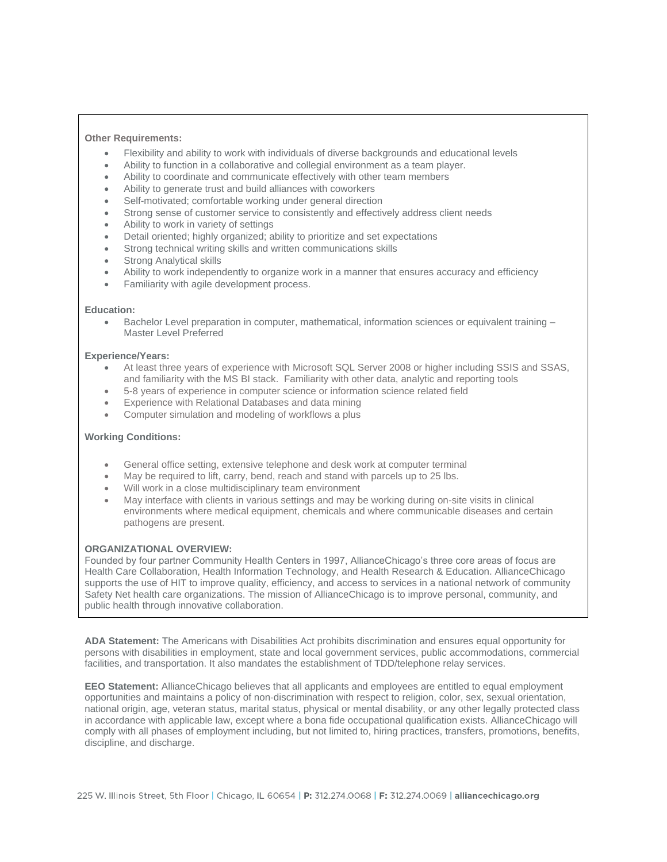# **Other Requirements:**

- Flexibility and ability to work with individuals of diverse backgrounds and educational levels
- Ability to function in a collaborative and collegial environment as a team player.
- Ability to coordinate and communicate effectively with other team members
- Ability to generate trust and build alliances with coworkers
- Self-motivated; comfortable working under general direction
- Strong sense of customer service to consistently and effectively address client needs
- Ability to work in variety of settings
- Detail oriented; highly organized; ability to prioritize and set expectations
- Strong technical writing skills and written communications skills
- **Strong Analytical skills**
- Ability to work independently to organize work in a manner that ensures accuracy and efficiency
- Familiarity with agile development process.

#### **Education:**

• Bachelor Level preparation in computer, mathematical, information sciences or equivalent training – Master Level Preferred

#### **Experience/Years:**

- At least three years of experience with Microsoft SQL Server 2008 or higher including SSIS and SSAS, and familiarity with the MS BI stack. Familiarity with other data, analytic and reporting tools
- 5-8 years of experience in computer science or information science related field
- Experience with Relational Databases and data mining
- Computer simulation and modeling of workflows a plus

## **Working Conditions:**

- General office setting, extensive telephone and desk work at computer terminal
- May be required to lift, carry, bend, reach and stand with parcels up to 25 lbs.
- Will work in a close multidisciplinary team environment
- May interface with clients in various settings and may be working during on-site visits in clinical environments where medical equipment, chemicals and where communicable diseases and certain pathogens are present.

## **ORGANIZATIONAL OVERVIEW:**

Founded by four partner Community Health Centers in 1997, AllianceChicago's three core areas of focus are Health Care Collaboration, Health Information Technology, and Health Research & Education. AllianceChicago supports the use of HIT to improve quality, efficiency, and access to services in a national network of community Safety Net health care organizations. The mission of AllianceChicago is to improve personal, community, and public health through innovative collaboration.

**ADA Statement:** The Americans with Disabilities Act prohibits discrimination and ensures equal opportunity for persons with disabilities in employment, state and local government services, public accommodations, commercial facilities, and transportation. It also mandates the establishment of TDD/telephone relay services.

**EEO Statement:** AllianceChicago believes that all applicants and employees are entitled to equal employment opportunities and maintains a policy of non‐discrimination with respect to religion, color, sex, sexual orientation, national origin, age, veteran status, marital status, physical or mental disability, or any other legally protected class in accordance with applicable law, except where a bona fide occupational qualification exists. AllianceChicago will comply with all phases of employment including, but not limited to, hiring practices, transfers, promotions, benefits, discipline, and discharge.